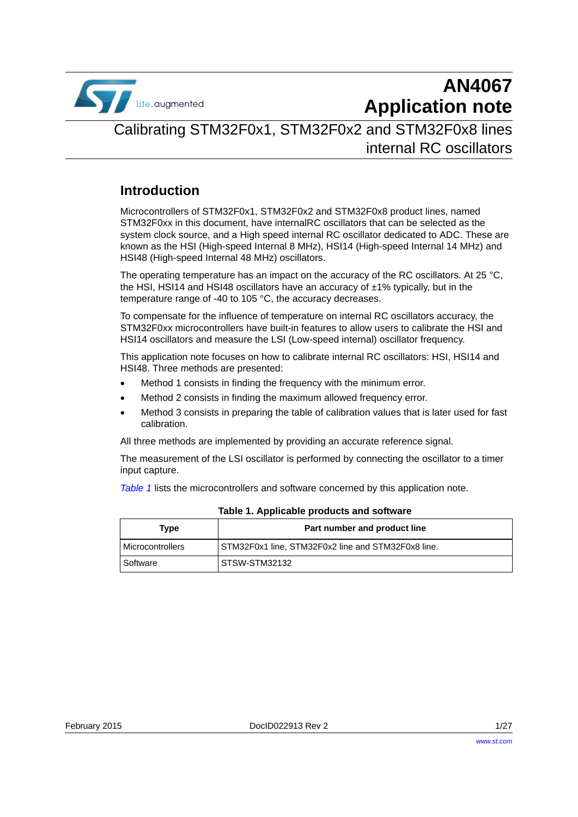

# **AN4067 Application note**

## Calibrating STM32F0x1, STM32F0x2 and STM32F0x8 lines internal RC oscillators

### **Introduction**

Microcontrollers of STM32F0x1, STM32F0x2 and STM32F0x8 product lines, named STM32F0xx in this document, have internalRC oscillators that can be selected as the system clock source, and a High speed internal RC oscillator dedicated to ADC. These are known as the HSI (High-speed Internal 8 MHz), HSI14 (High-speed Internal 14 MHz) and HSI48 (High-speed Internal 48 MHz) oscillators.

The operating temperature has an impact on the accuracy of the RC oscillators. At 25  $^{\circ}$ C, the HSI, HSI14 and HSI48 oscillators have an accuracy of  $\pm 1\%$  typically, but in the temperature range of -40 to 105 °C, the accuracy decreases.

To compensate for the influence of temperature on internal RC oscillators accuracy, the STM32F0xx microcontrollers have built-in features to allow users to calibrate the HSI and HSI14 oscillators and measure the LSI (Low-speed internal) oscillator frequency.

This application note focuses on how to calibrate internal RC oscillators: HSI, HSI14 and HSI48. Three methods are presented:

- Method 1 consists in finding the frequency with the minimum error.
- Method 2 consists in finding the maximum allowed frequency error.
- Method 3 consists in preparing the table of calibration values that is later used for fast calibration.

All three methods are implemented by providing an accurate reference signal.

The measurement of the LSI oscillator is performed by connecting the oscillator to a timer input capture.

*[Table](#page-0-0) 1* lists the microcontrollers and software concerned by this application note.

<span id="page-0-0"></span>

| Type                    | Part number and product line                       |
|-------------------------|----------------------------------------------------|
| <b>Microcontrollers</b> | STM32F0x1 line, STM32F0x2 line and STM32F0x8 line. |
| Software                | STSW-STM32132                                      |

#### **Table 1. Applicable products and software**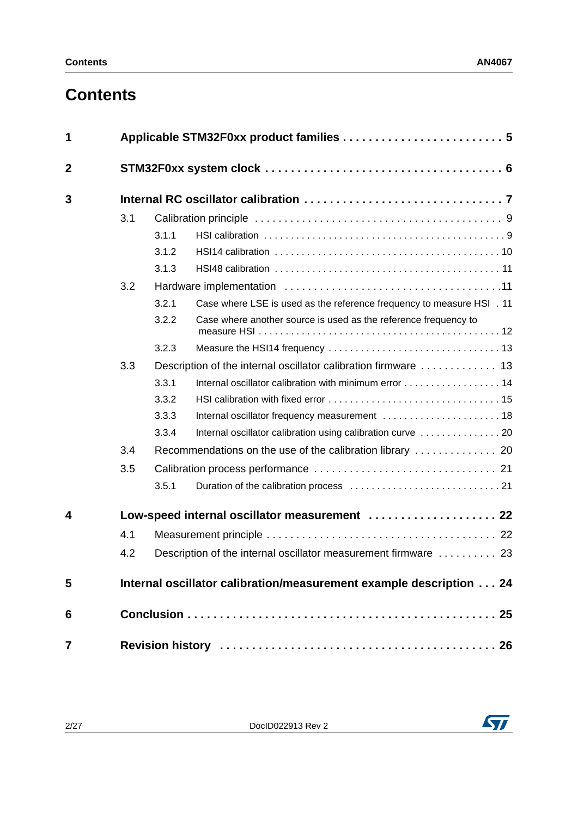## **Contents**

| 1              |     |       |                                                                       |  |
|----------------|-----|-------|-----------------------------------------------------------------------|--|
| $\overline{2}$ |     |       |                                                                       |  |
| 3              |     |       |                                                                       |  |
|                | 3.1 |       |                                                                       |  |
|                |     | 3.1.1 |                                                                       |  |
|                |     | 3.1.2 |                                                                       |  |
|                |     | 3.1.3 |                                                                       |  |
|                | 3.2 |       |                                                                       |  |
|                |     | 3.2.1 | Case where LSE is used as the reference frequency to measure HSI . 11 |  |
|                |     | 3.2.2 | Case where another source is used as the reference frequency to       |  |
|                |     | 3.2.3 |                                                                       |  |
| 3.3            |     |       |                                                                       |  |
|                |     | 3.3.1 |                                                                       |  |
|                |     | 3.3.2 |                                                                       |  |
|                |     | 3.3.3 |                                                                       |  |
|                |     | 3.3.4 |                                                                       |  |
| 3.4            |     |       |                                                                       |  |
|                | 3.5 |       |                                                                       |  |
|                |     | 3.5.1 |                                                                       |  |
| 4              |     |       | Low-speed internal oscillator measurement  22                         |  |
|                | 4.1 |       |                                                                       |  |
|                | 4.2 |       | Description of the internal oscillator measurement firmware  23       |  |
| 5              |     |       | Internal oscillator calibration/measurement example description 24    |  |
| 6              |     |       |                                                                       |  |
| 7              |     |       |                                                                       |  |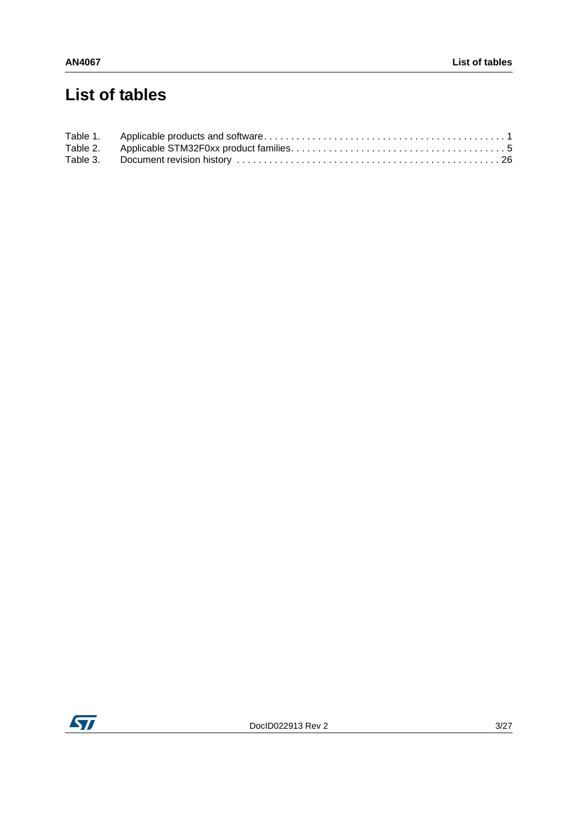## **List of tables**

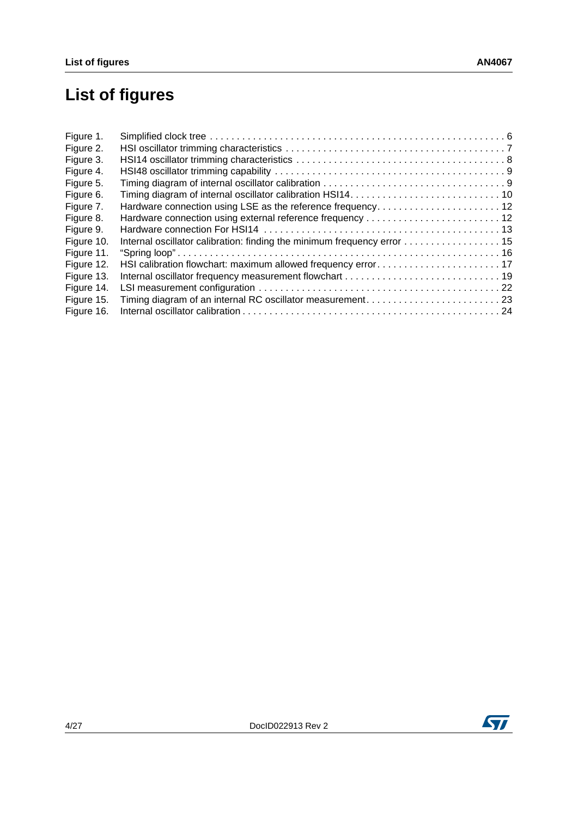# **List of figures**

| Figure 1.  |                                                             |  |
|------------|-------------------------------------------------------------|--|
| Figure 2.  |                                                             |  |
| Figure 3.  |                                                             |  |
| Figure 4.  |                                                             |  |
| Figure 5.  |                                                             |  |
| Figure 6.  |                                                             |  |
| Figure 7.  | Hardware connection using LSE as the reference frequency 12 |  |
| Figure 8.  |                                                             |  |
| Figure 9.  |                                                             |  |
| Figure 10. |                                                             |  |
| Figure 11. |                                                             |  |
| Figure 12. |                                                             |  |
| Figure 13. |                                                             |  |
| Figure 14. |                                                             |  |
| Figure 15. |                                                             |  |
| Figure 16. |                                                             |  |

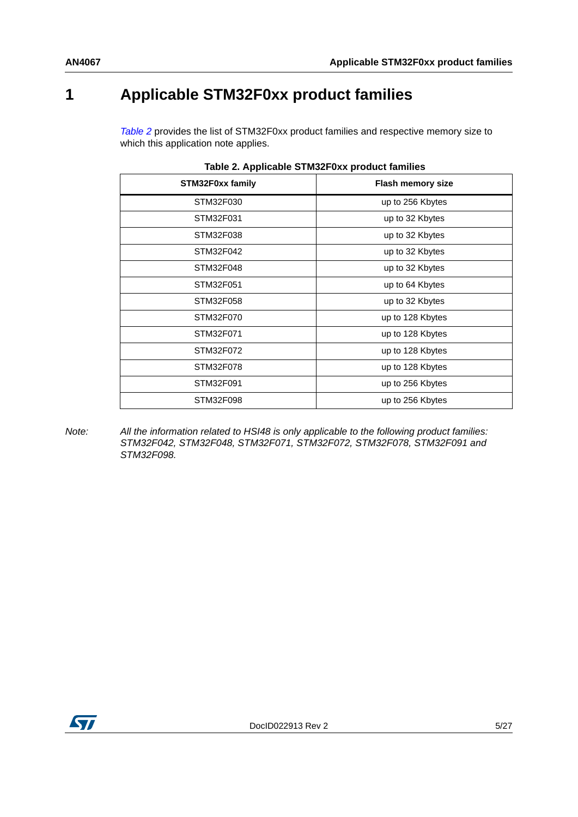## <span id="page-4-0"></span>**1 Applicable STM32F0xx product families**

*[Table](#page-4-1) 2* provides the list of STM32F0xx product families and respective memory size to which this application note applies.

<span id="page-4-1"></span>

| apio El Tipplioabio O FilloEl VAA produot fullimoo |                          |  |
|----------------------------------------------------|--------------------------|--|
| STM32F0xx family                                   | <b>Flash memory size</b> |  |
| STM32F030                                          | up to 256 Kbytes         |  |
| STM32F031                                          | up to 32 Kbytes          |  |
| STM32F038                                          | up to 32 Kbytes          |  |
| STM32F042                                          | up to 32 Kbytes          |  |
| STM32F048                                          | up to 32 Kbytes          |  |
| STM32F051                                          | up to 64 Kbytes          |  |
| STM32F058                                          | up to 32 Kbytes          |  |
| STM32F070                                          | up to 128 Kbytes         |  |
| STM32F071                                          | up to 128 Kbytes         |  |
| STM32F072                                          | up to 128 Kbytes         |  |
| STM32F078                                          | up to 128 Kbytes         |  |
| STM32F091                                          | up to 256 Kbytes         |  |
| STM32F098                                          | up to 256 Kbytes         |  |
|                                                    |                          |  |

|  |  |  | Table 2. Applicable STM32F0xx product families |  |
|--|--|--|------------------------------------------------|--|
|--|--|--|------------------------------------------------|--|

*Note: All the information related to HSI48 is only applicable to the following product families: STM32F042, STM32F048, STM32F071, STM32F072, STM32F078, STM32F091 and STM32F098.* 

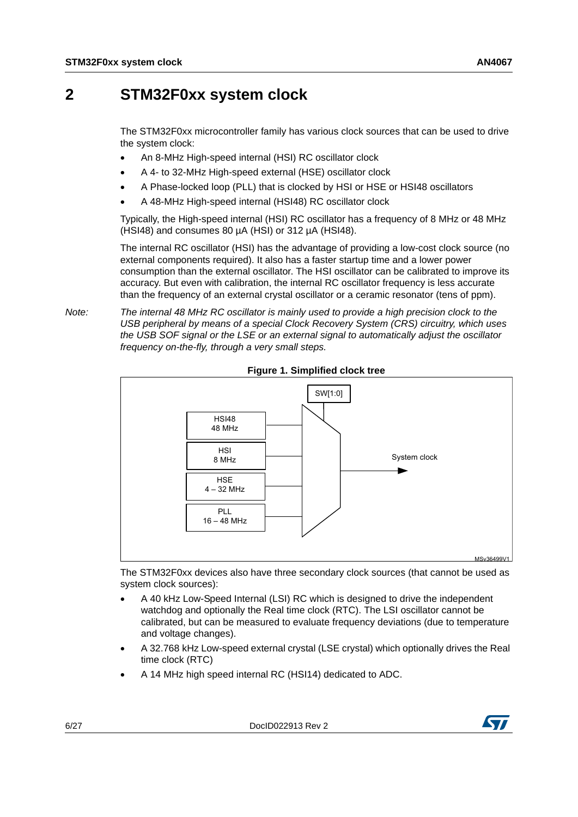## <span id="page-5-0"></span>**2 STM32F0xx system clock**

The STM32F0xx microcontroller family has various clock sources that can be used to drive the system clock:

- An 8-MHz High-speed internal (HSI) RC oscillator clock
- A 4- to 32-MHz High-speed external (HSE) oscillator clock
- A Phase-locked loop (PLL) that is clocked by HSI or HSE or HSI48 oscillators
- A 48-MHz High-speed internal (HSI48) RC oscillator clock

Typically, the High-speed internal (HSI) RC oscillator has a frequency of 8 MHz or 48 MHz  $(HSI48)$  and consumes 80  $\mu$ A (HSI) or 312  $\mu$ A (HSI48).

The internal RC oscillator (HSI) has the advantage of providing a low-cost clock source (no external components required). It also has a faster startup time and a lower power consumption than the external oscillator. The HSI oscillator can be calibrated to improve its accuracy. But even with calibration, the internal RC oscillator frequency is less accurate than the frequency of an external crystal oscillator or a ceramic resonator (tens of ppm).

*Note: The internal 48 MHz RC oscillator is mainly used to provide a high precision clock to the USB peripheral by means of a special Clock Recovery System (CRS) circuitry, which uses the USB SOF signal or the LSE or an external signal to automatically adjust the oscillator frequency on-the-fly, through a very small steps.*

<span id="page-5-1"></span>

**Figure 1. Simplified clock tree**

The STM32F0xx devices also have three secondary clock sources (that cannot be used as system clock sources):

- A 40 kHz Low-Speed Internal (LSI) RC which is designed to drive the independent watchdog and optionally the Real time clock (RTC). The LSI oscillator cannot be calibrated, but can be measured to evaluate frequency deviations (due to temperature and voltage changes).
- A 32.768 kHz Low-speed external crystal (LSE crystal) which optionally drives the Real time clock (RTC)
- A 14 MHz high speed internal RC (HSI14) dedicated to ADC.

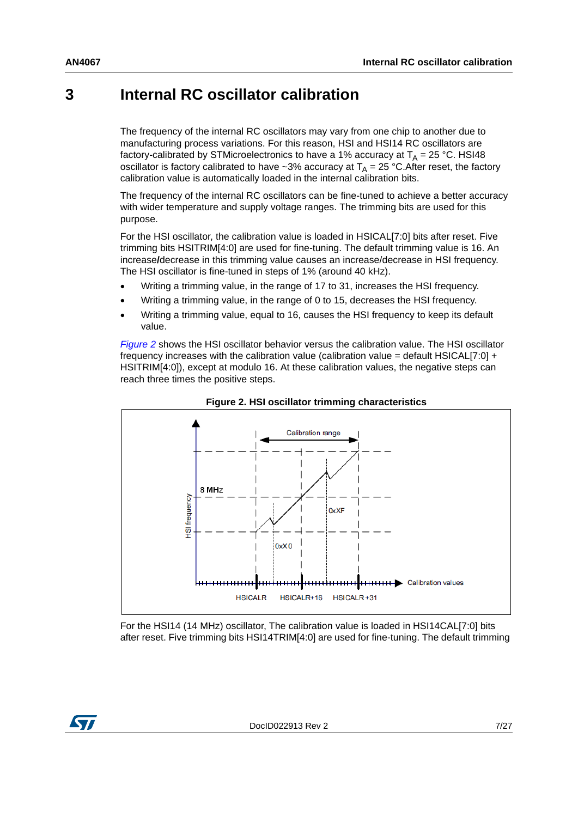## <span id="page-6-0"></span>**3 Internal RC oscillator calibration**

The frequency of the internal RC oscillators may vary from one chip to another due to manufacturing process variations. For this reason, HSI and HSI14 RC oscillators are factory-calibrated by STMicroelectronics to have a 1% accuracy at  $T_A = 25$  °C. HSI48 oscillator is factory calibrated to have ~3% accuracy at  $T_A = 25$  °C. After reset, the factory calibration value is automatically loaded in the internal calibration bits.

The frequency of the internal RC oscillators can be fine-tuned to achieve a better accuracy with wider temperature and supply voltage ranges. The trimming bits are used for this purpose.

For the HSI oscillator, the calibration value is loaded in HSICAL[7:0] bits after reset. Five trimming bits HSITRIM[4:0] are used for fine-tuning. The default trimming value is 16. An increase**/**decrease in this trimming value causes an increase/decrease in HSI frequency. The HSI oscillator is fine-tuned in steps of 1% (around 40 kHz).

- Writing a trimming value, in the range of 17 to 31, increases the HSI frequency.
- Writing a trimming value, in the range of 0 to 15, decreases the HSI frequency.
- Writing a trimming value, equal to 16, causes the HSI frequency to keep its default value.

*[Figure](#page-6-1) 2* shows the HSI oscillator behavior versus the calibration value. The HSI oscillator frequency increases with the calibration value (calibration value = default HSICAL[7:0] + HSITRIM[4:0]), except at modulo 16. At these calibration values, the negative steps can reach three times the positive steps.

<span id="page-6-1"></span>



For the HSI14 (14 MHz) oscillator, The calibration value is loaded in HSI14CAL[7:0] bits after reset. Five trimming bits HSI14TRIM[4:0] are used for fine-tuning. The default trimming

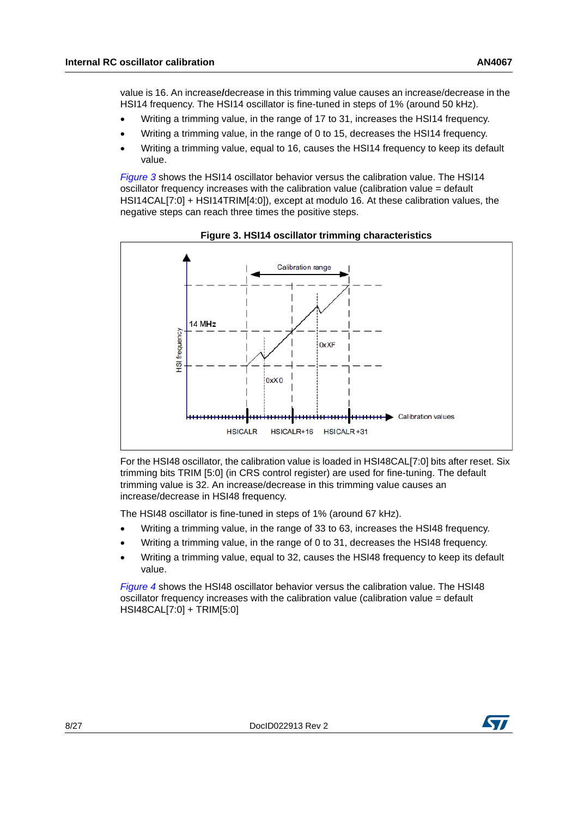value is 16. An increase**/**decrease in this trimming value causes an increase/decrease in the HSI14 frequency. The HSI14 oscillator is fine-tuned in steps of 1% (around 50 kHz).

- Writing a trimming value, in the range of 17 to 31, increases the HSI14 frequency.
- Writing a trimming value, in the range of 0 to 15, decreases the HSI14 frequency.
- Writing a trimming value, equal to 16, causes the HSI14 frequency to keep its default value.

*[Figure](#page-7-0) 3* shows the HSI14 oscillator behavior versus the calibration value. The HSI14 oscillator frequency increases with the calibration value (calibration value = default HSI14CAL[7:0] + HSI14TRIM[4:0]), except at modulo 16. At these calibration values, the negative steps can reach three times the positive steps.

<span id="page-7-0"></span>



For the HSI48 oscillator, the calibration value is loaded in HSI48CAL[7:0] bits after reset. Six trimming bits TRIM [5:0] (in CRS control register) are used for fine-tuning. The default trimming value is 32. An increase/decrease in this trimming value causes an increase/decrease in HSI48 frequency.

The HSI48 oscillator is fine-tuned in steps of 1% (around 67 kHz).

- Writing a trimming value, in the range of 33 to 63, increases the HSI48 frequency.
- Writing a trimming value, in the range of 0 to 31, decreases the HSI48 frequency.
- Writing a trimming value, equal to 32, causes the HSI48 frequency to keep its default value.

*[Figure](#page-8-2) 4* shows the HSI48 oscillator behavior versus the calibration value. The HSI48 oscillator frequency increases with the calibration value (calibration value = default HSI48CAL[7:0] + TRIM[5:0]

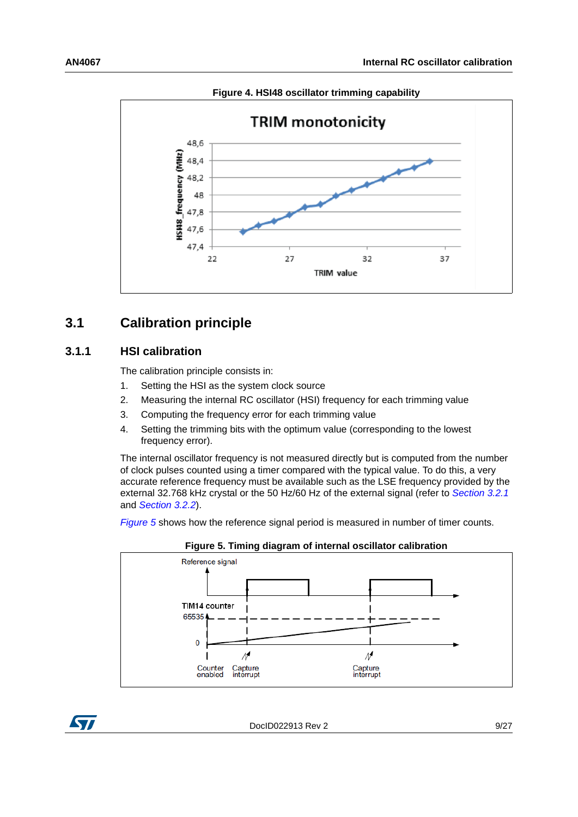<span id="page-8-2"></span>

**Figure 4. HSI48 oscillator trimming capability**

## <span id="page-8-0"></span>**3.1 Calibration principle**

#### <span id="page-8-1"></span>**3.1.1 HSI calibration**

The calibration principle consists in:

- 1. Setting the HSI as the system clock source
- 2. Measuring the internal RC oscillator (HSI) frequency for each trimming value
- 3. Computing the frequency error for each trimming value
- 4. Setting the trimming bits with the optimum value (corresponding to the lowest frequency error).

The internal oscillator frequency is not measured directly but is computed from the number of clock pulses counted using a timer compared with the typical value. To do this, a very accurate reference frequency must be available such as the LSE frequency provided by the external 32.768 kHz crystal or the 50 Hz/60 Hz of the external signal (refer to *[Section](#page-10-2) 3.2.1* and *[Section](#page-11-0) 3.2.2*).

*[Figure](#page-8-3) 5* shows how the reference signal period is measured in number of timer counts.

<span id="page-8-3"></span>

**Figure 5. Timing diagram of internal oscillator calibration**

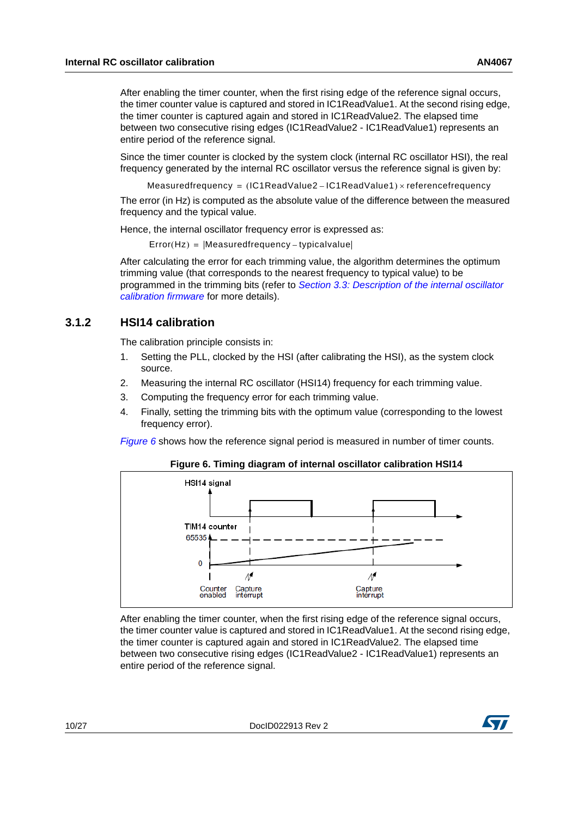After enabling the timer counter, when the first rising edge of the reference signal occurs, the timer counter value is captured and stored in IC1ReadValue1. At the second rising edge, the timer counter is captured again and stored in IC1ReadValue2. The elapsed time between two consecutive rising edges (IC1ReadValue2 - IC1ReadValue1) represents an entire period of the reference signal.

Since the timer counter is clocked by the system clock (internal RC oscillator HSI), the real frequency generated by the internal RC oscillator versus the reference signal is given by:

 $Measuredfrequency = (IC1ReadValue2 - IC1ReadValue2)$  =  $r = 1$ 

The error (in Hz) is computed as the absolute value of the difference between the measured frequency and the typical value.

Hence, the internal oscillator frequency error is expressed as:

 $Error(Hz) = |Measurementedfrequency - typicalvalue|$ 

After calculating the error for each trimming value, the algorithm determines the optimum trimming value (that corresponds to the nearest frequency to typical value) to be programmed in the trimming bits (refer to *Section [3.3: Description of the internal oscillator](#page-12-1)  [calibration firmware](#page-12-1)* for more details).

#### <span id="page-9-0"></span>**3.1.2 HSI14 calibration**

The calibration principle consists in:

- 1. Setting the PLL, clocked by the HSI (after calibrating the HSI), as the system clock source.
- 2. Measuring the internal RC oscillator (HSI14) frequency for each trimming value.
- 3. Computing the frequency error for each trimming value.
- 4. Finally, setting the trimming bits with the optimum value (corresponding to the lowest frequency error).

*[Figure](#page-9-1) 6* shows how the reference signal period is measured in number of timer counts.

<span id="page-9-1"></span>

**Figure 6. Timing diagram of internal oscillator calibration HSI14**

After enabling the timer counter, when the first rising edge of the reference signal occurs, the timer counter value is captured and stored in IC1ReadValue1. At the second rising edge, the timer counter is captured again and stored in IC1ReadValue2. The elapsed time between two consecutive rising edges (IC1ReadValue2 - IC1ReadValue1) represents an entire period of the reference signal.

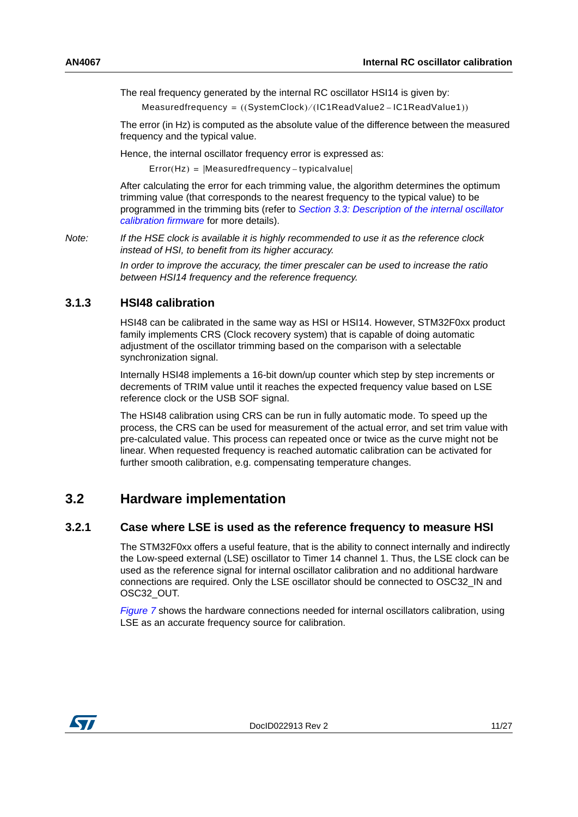The real frequency generated by the internal RC oscillator HSI14 is given by:

 $Measured frequency = ((SystemClock) / (IC1ReadValue2 - IC1ReadValue1))$ 

The error (in Hz) is computed as the absolute value of the difference between the measured frequency and the typical value.

Hence, the internal oscillator frequency error is expressed as:

 $Error(Hz) = | Measurementfrequency - typicalvalue|$ 

After calculating the error for each trimming value, the algorithm determines the optimum trimming value (that corresponds to the nearest frequency to the typical value) to be programmed in the trimming bits (refer to *Section [3.3: Description of the internal oscillator](#page-12-1)  [calibration firmware](#page-12-1)* for more details).

*Note: If the HSE clock is available it is highly recommended to use it as the reference clock instead of HSI, to benefit from its higher accuracy.*

> *In order to improve the accuracy, the timer prescaler can be used to increase the ratio between HSI14 frequency and the reference frequency.*

#### <span id="page-10-0"></span>**3.1.3 HSI48 calibration**

HSI48 can be calibrated in the same way as HSI or HSI14. However, STM32F0xx product family implements CRS (Clock recovery system) that is capable of doing automatic adjustment of the oscillator trimming based on the comparison with a selectable synchronization signal.

Internally HSI48 implements a 16-bit down/up counter which step by step increments or decrements of TRIM value until it reaches the expected frequency value based on LSE reference clock or the USB SOF signal.

The HSI48 calibration using CRS can be run in fully automatic mode. To speed up the process, the CRS can be used for measurement of the actual error, and set trim value with pre-calculated value. This process can repeated once or twice as the curve might not be linear. When requested frequency is reached automatic calibration can be activated for further smooth calibration, e.g. compensating temperature changes.

### <span id="page-10-1"></span>**3.2 Hardware implementation**

#### <span id="page-10-2"></span>**3.2.1 Case where LSE is used as the reference frequency to measure HSI**

The STM32F0xx offers a useful feature, that is the ability to connect internally and indirectly the Low-speed external (LSE) oscillator to Timer 14 channel 1. Thus, the LSE clock can be used as the reference signal for internal oscillator calibration and no additional hardware connections are required. Only the LSE oscillator should be connected to OSC32\_IN and OSC32\_OUT.

*[Figure](#page-11-1) 7* shows the hardware connections needed for internal oscillators calibration, using LSE as an accurate frequency source for calibration.

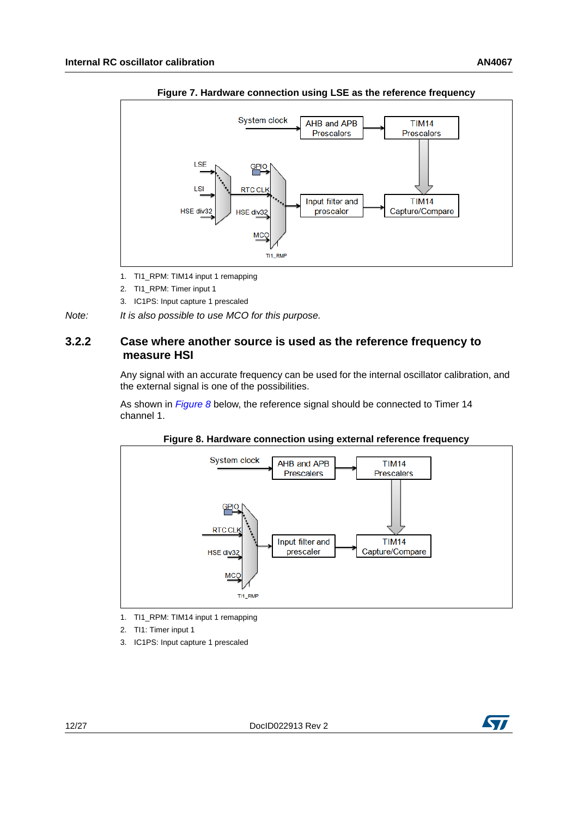<span id="page-11-1"></span>

**Figure 7. Hardware connection using LSE as the reference frequency**

- 1. TI1\_RPM: TIM14 input 1 remapping
- 2. TI1\_RPM: Timer input 1
- 3. IC1PS: Input capture 1 prescaled

*Note: It is also possible to use MCO for this purpose.*

#### <span id="page-11-0"></span>**3.2.2 Case where another source is used as the reference frequency to measure HSI**

Any signal with an accurate frequency can be used for the internal oscillator calibration, and the external signal is one of the possibilities.

As shown in *[Figure](#page-11-2) 8* below, the reference signal should be connected to Timer 14 channel 1.

<span id="page-11-2"></span>

**Figure 8. Hardware connection using external reference frequency**

- 1. TI1\_RPM: TIM14 input 1 remapping
- 2. TI1: Timer input 1
- 3. IC1PS: Input capture 1 prescaled

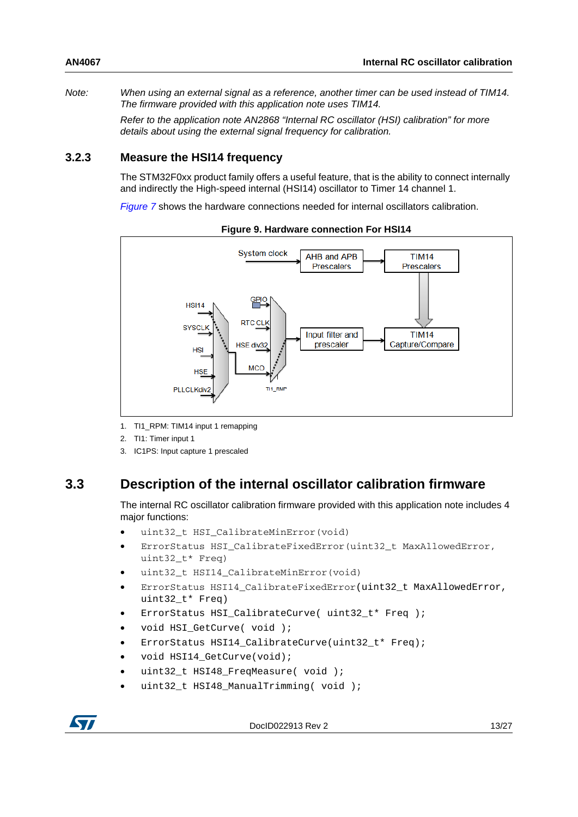*Note: When using an external signal as a reference, another timer can be used instead of TIM14. The firmware provided with this application note uses TIM14.*

*Refer to the application note AN2868 "Internal RC oscillator (HSI) calibration" for more details about using the external signal frequency for calibration.*

#### <span id="page-12-0"></span>**3.2.3 Measure the HSI14 frequency**

The STM32F0xx product family offers a useful feature, that is the ability to connect internally and indirectly the High-speed internal (HSI14) oscillator to Timer 14 channel 1.

*[Figure](#page-11-1) 7* shows the hardware connections needed for internal oscillators calibration.

<span id="page-12-2"></span>

**Figure 9. Hardware connection For HSI14**

1. TI1\_RPM: TIM14 input 1 remapping

2. TI1: Timer input 1

3. IC1PS: Input capture 1 prescaled

## <span id="page-12-1"></span>**3.3 Description of the internal oscillator calibration firmware**

The internal RC oscillator calibration firmware provided with this application note includes 4 major functions:

- uint32 t HSI CalibrateMinError(void)
- ErrorStatus HSI CalibrateFixedError(uint32\_t MaxAllowedError, uint32\_t\* Freq)
- uint32 t HSI14 CalibrateMinError(void)
- ErrorStatus HSI14\_CalibrateFixedError(uint32\_t MaxAllowedError, uint32\_t\* Freq)
- ErrorStatus HSI CalibrateCurve( uint32\_t\* Freq );
- void HSI GetCurve( void );
- ErrorStatus HSI14 CalibrateCurve(uint32 t\* Freq);
- void HSI14\_GetCurve(void);
- uint32 t HSI48 FreqMeasure( void );
- uint32 t HSI48 ManualTrimming( void );



DocID022913 Rev 2 13/[27](#page-26-0)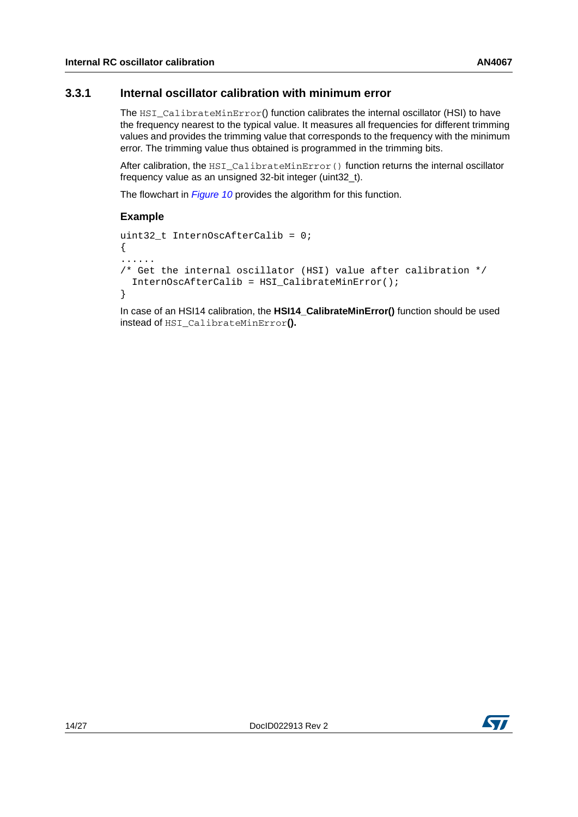#### <span id="page-13-0"></span>**3.3.1 Internal oscillator calibration with minimum error**

The HSI\_CalibrateMinError() function calibrates the internal oscillator (HSI) to have the frequency nearest to the typical value. It measures all frequencies for different trimming values and provides the trimming value that corresponds to the frequency with the minimum error. The trimming value thus obtained is programmed in the trimming bits.

After calibration, the HSI\_CalibrateMinError() function returns the internal oscillator frequency value as an unsigned 32-bit integer (uint32\_t).

The flowchart in *[Figure](#page-14-1) 10* provides the algorithm for this function.

#### **Example**

```
uint32 t InternOscAfterCalib = 0;
{
......
/* Get the internal oscillator (HSI) value after calibration */
   InternOscAfterCalib = HSI_CalibrateMinError();
}
```
In case of an HSI14 calibration, the **HSI14\_CalibrateMinError()** function should be used instead of HSI\_CalibrateMinError**().**

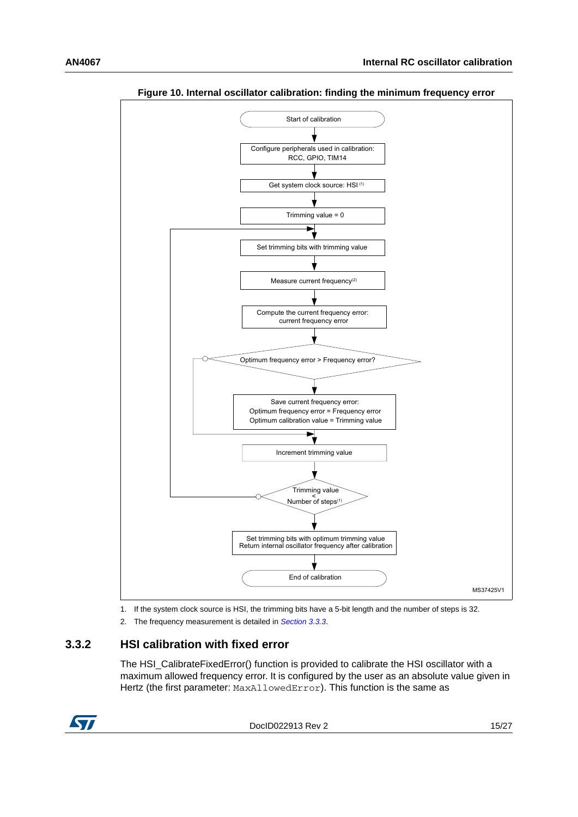<span id="page-14-1"></span>

**Figure 10. Internal oscillator calibration: finding the minimum frequency error**

1. If the system clock source is HSI, the trimming bits have a 5-bit length and the number of steps is 32.

2. The frequency measurement is detailed in *[Section 3.3.3](#page-17-0)*.

#### <span id="page-14-0"></span>**3.3.2 HSI calibration with fixed error**

The HSI\_CalibrateFixedError() function is provided to calibrate the HSI oscillator with a maximum allowed frequency error. It is configured by the user as an absolute value given in Hertz (the first parameter: MaxAllowedError). This function is the same as



DocID022913 Rev 2 15/[27](#page-26-0)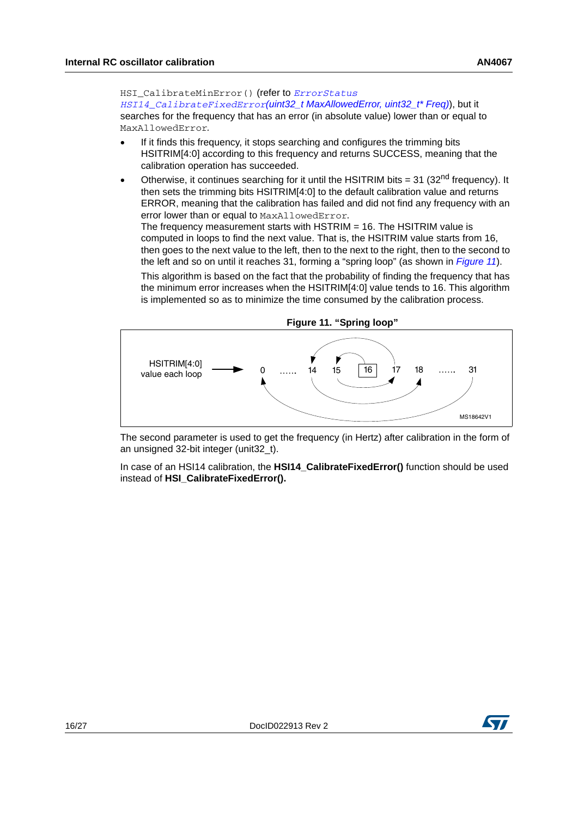HSI\_CalibrateMinError() (refer to *ErrorStatus HSI14\_CalibrateFixedError(uint32\_t MaxAllowedError, uint32\_t\* Freq)*), but it searches for the frequency that has an error (in absolute value) lower than or equal to MaxAllowedError*.*

- If it finds this frequency, it stops searching and configures the trimming bits HSITRIM[4:0] according to this frequency and returns SUCCESS, meaning that the calibration operation has succeeded.
- Otherwise, it continues searching for it until the HSITRIM bits = 31 (32<sup>nd</sup> frequency). It then sets the trimming bits HSITRIM[4:0] to the default calibration value and returns ERROR, meaning that the calibration has failed and did not find any frequency with an error lower than or equal to MaxAllowedError.

The frequency measurement starts with  $HSTRIM = 16$ . The  $HSTRIM$  value is computed in loops to find the next value. That is, the HSITRIM value starts from 16, then goes to the next value to the left, then to the next to the right, then to the second to the left and so on until it reaches 31, forming a "spring loop" (as shown in *[Figure 11](#page-15-0)*).

This algorithm is based on the fact that the probability of finding the frequency that has the minimum error increases when the HSITRIM[4:0] value tends to 16. This algorithm is implemented so as to minimize the time consumed by the calibration process.

<span id="page-15-0"></span>

The second parameter is used to get the frequency (in Hertz) after calibration in the form of an unsigned 32-bit integer (unit32\_t).

In case of an HSI14 calibration, the **HSI14\_CalibrateFixedError()** function should be used instead of **HSI\_CalibrateFixedError().**

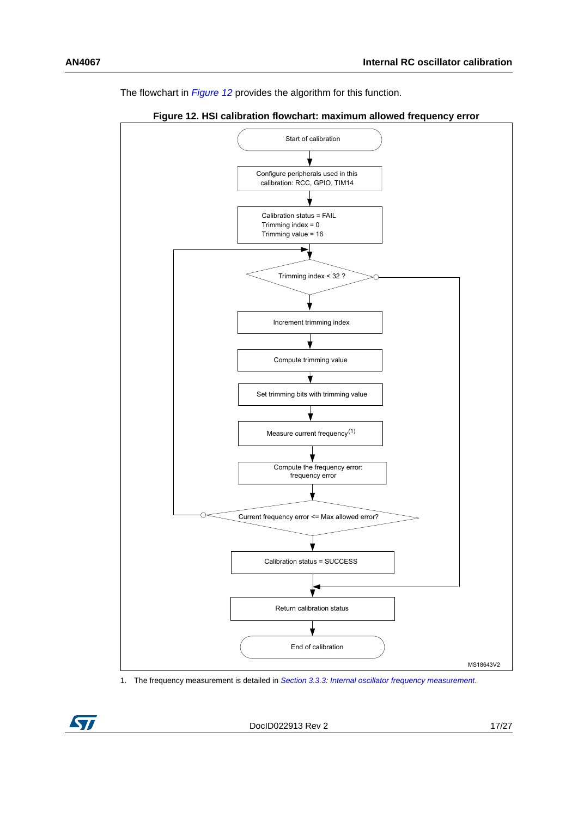The flowchart in *[Figure](#page-16-0) 12* provides the algorithm for this function.

<span id="page-16-0"></span>

**Figure 12. HSI calibration flowchart: maximum allowed frequency error**

1. The frequency measurement is detailed in *[Section 3.3.3: Internal oscillator frequency measurement](#page-17-0)*.

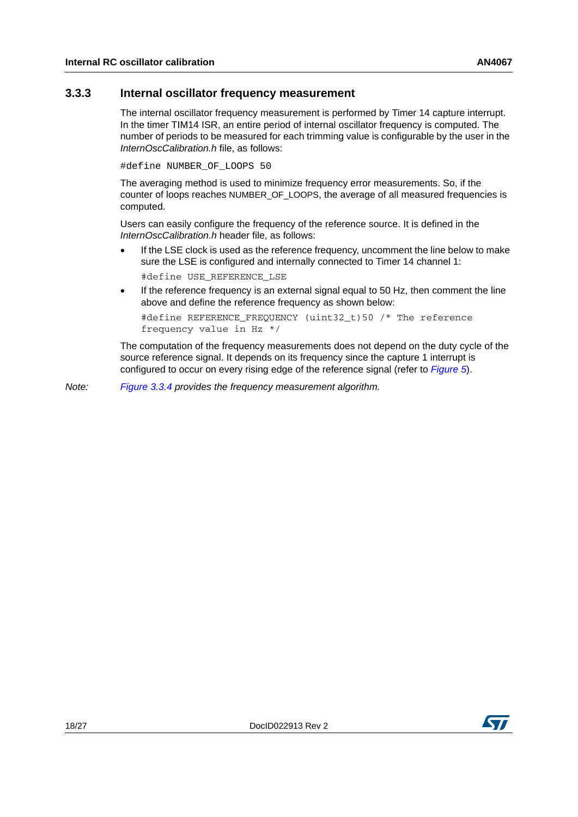#### <span id="page-17-0"></span>**3.3.3 Internal oscillator frequency measurement**

The internal oscillator frequency measurement is performed by Timer 14 capture interrupt. In the timer TIM14 ISR, an entire period of internal oscillator frequency is computed. The number of periods to be measured for each trimming value is configurable by the user in the *InternOscCalibration.h* file, as follows:

#define NUMBER OF LOOPS 50

The averaging method is used to minimize frequency error measurements. So, if the counter of loops reaches NUMBER\_OF\_LOOPS, the average of all measured frequencies is computed.

Users can easily configure the frequency of the reference source. It is defined in the *InternOscCalibration.h* header file, as follows:

- If the LSE clock is used as the reference frequency, uncomment the line below to make sure the LSE is configured and internally connected to Timer 14 channel 1: #define USE\_REFERENCE\_LSE
- If the reference frequency is an external signal equal to 50 Hz, then comment the line above and define the reference frequency as shown below:

```
#define REFERENCE_FREQUENCY (uint32_t)50 /* The reference 
frequency value in Hz */
```
The computation of the frequency measurements does not depend on the duty cycle of the source reference signal. It depends on its frequency since the capture 1 interrupt is configured to occur on every rising edge of the reference signal (refer to *[Figure](#page-8-3) 5*).

*Note: [Figure](#page-19-0) 3.3.4 provides the frequency measurement algorithm.*

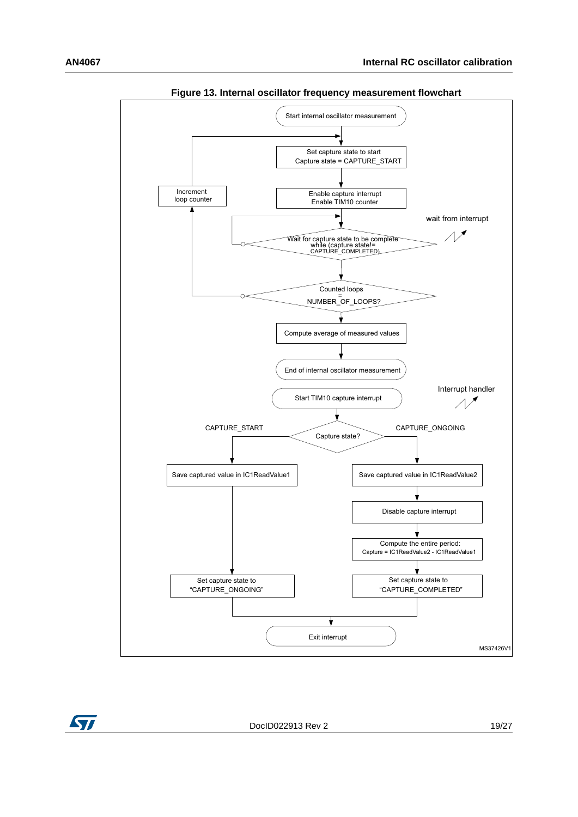<span id="page-18-0"></span>

**Figure 13. Internal oscillator frequency measurement flowchart**

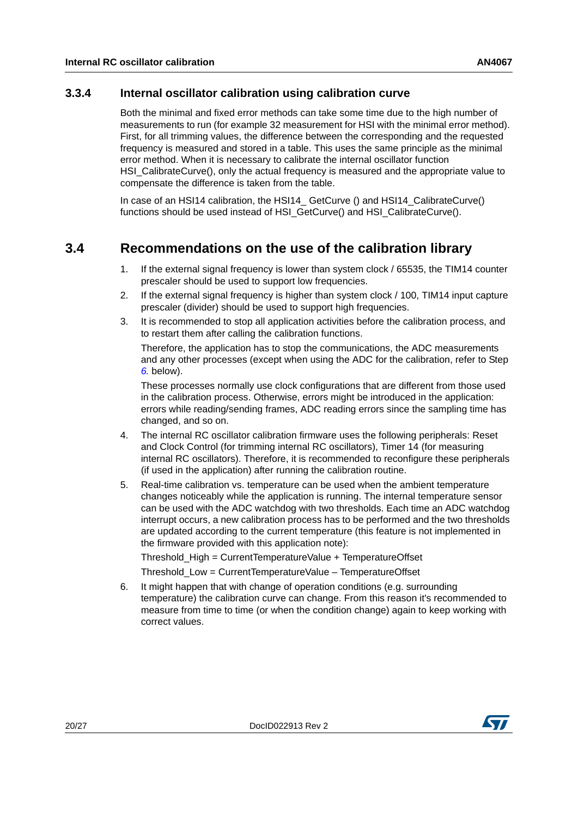#### <span id="page-19-0"></span>**3.3.4 Internal oscillator calibration using calibration curve**

Both the minimal and fixed error methods can take some time due to the high number of measurements to run (for example 32 measurement for HSI with the minimal error method). First, for all trimming values, the difference between the corresponding and the requested frequency is measured and stored in a table. This uses the same principle as the minimal error method. When it is necessary to calibrate the internal oscillator function HSI\_CalibrateCurve(), only the actual frequency is measured and the appropriate value to compensate the difference is taken from the table.

In case of an HSI14 calibration, the HSI14\_ GetCurve () and HSI14\_CalibrateCurve() functions should be used instead of HSI\_GetCurve() and HSI\_CalibrateCurve().

## <span id="page-19-1"></span>**3.4 Recommendations on the use of the calibration library**

- 1. If the external signal frequency is lower than system clock / 65535, the TIM14 counter prescaler should be used to support low frequencies.
- 2. If the external signal frequency is higher than system clock / 100, TIM14 input capture prescaler (divider) should be used to support high frequencies.
- 3. It is recommended to stop all application activities before the calibration process, and to restart them after calling the calibration functions.

Therefore, the application has to stop the communications, the ADC measurements and any other processes (except when using the ADC for the calibration, refer to Step *[6.](#page-19-2)* below).

These processes normally use clock configurations that are different from those used in the calibration process. Otherwise, errors might be introduced in the application: errors while reading/sending frames, ADC reading errors since the sampling time has changed, and so on.

- 4. The internal RC oscillator calibration firmware uses the following peripherals: Reset and Clock Control (for trimming internal RC oscillators), Timer 14 (for measuring internal RC oscillators). Therefore, it is recommended to reconfigure these peripherals (if used in the application) after running the calibration routine.
- 5. Real-time calibration vs. temperature can be used when the ambient temperature changes noticeably while the application is running. The internal temperature sensor can be used with the ADC watchdog with two thresholds. Each time an ADC watchdog interrupt occurs, a new calibration process has to be performed and the two thresholds are updated according to the current temperature (this feature is not implemented in the firmware provided with this application note):

Threshold\_High = CurrentTemperatureValue + TemperatureOffset

Threshold\_Low = CurrentTemperatureValue – TemperatureOffset

<span id="page-19-2"></span>6. It might happen that with change of operation conditions (e.g. surrounding temperature) the calibration curve can change. From this reason it's recommended to measure from time to time (or when the condition change) again to keep working with correct values.

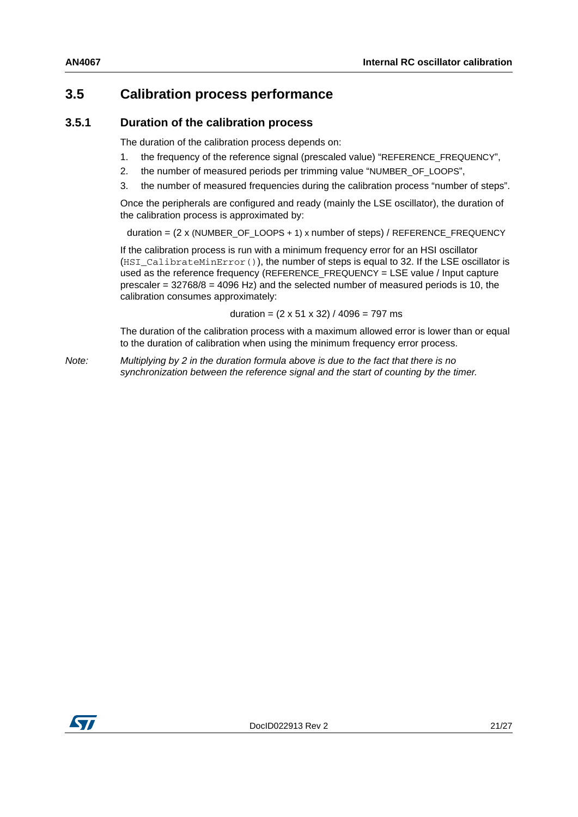## <span id="page-20-0"></span>**3.5 Calibration process performance**

#### <span id="page-20-1"></span>**3.5.1 Duration of the calibration process**

The duration of the calibration process depends on:

- 1. the frequency of the reference signal (prescaled value) "REFERENCE\_FREQUENCY",
- 2. the number of measured periods per trimming value "NUMBER\_OF\_LOOPS",
- 3. the number of measured frequencies during the calibration process "number of steps".

Once the peripherals are configured and ready (mainly the LSE oscillator), the duration of the calibration process is approximated by:

duration =  $(2 \times (NUMBER \t{DOPS + 1}) \times number of steps) / REFERENCE \t{FREQUENCY}$ 

If the calibration process is run with a minimum frequency error for an HSI oscillator (HSI CalibrateMinError()), the number of steps is equal to 32. If the LSE oscillator is used as the reference frequency (REFERENCE\_FREQUENCY = LSE value / Input capture prescaler =  $32768/8$  =  $4096$  Hz) and the selected number of measured periods is 10, the calibration consumes approximately:

duration =  $(2 \times 51 \times 32) / 4096 = 797$  ms

The duration of the calibration process with a maximum allowed error is lower than or equal to the duration of calibration when using the minimum frequency error process.

*Note: Multiplying by 2 in the duration formula above is due to the fact that there is no synchronization between the reference signal and the start of counting by the timer.*

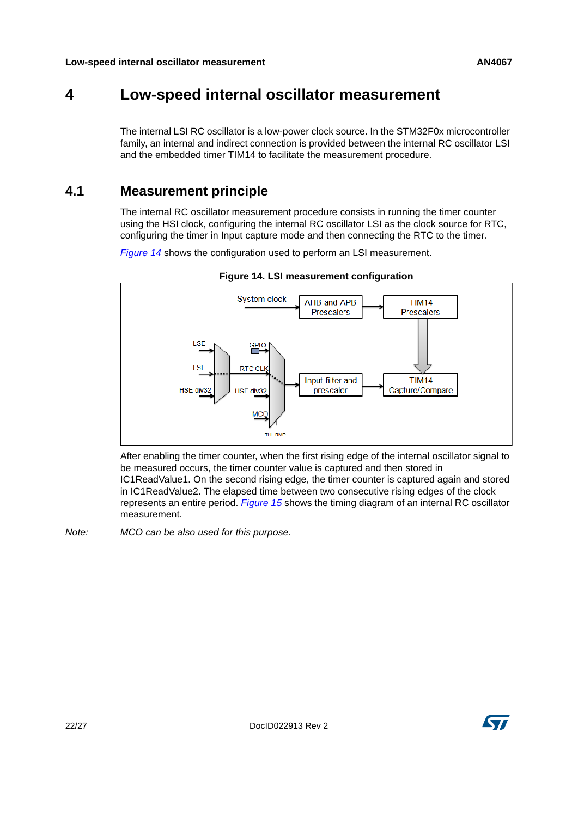## <span id="page-21-0"></span>**4 Low-speed internal oscillator measurement**

The internal LSI RC oscillator is a low-power clock source. In the STM32F0x microcontroller family, an internal and indirect connection is provided between the internal RC oscillator LSI and the embedded timer TIM14 to facilitate the measurement procedure.

## <span id="page-21-1"></span>**4.1 Measurement principle**

The internal RC oscillator measurement procedure consists in running the timer counter using the HSI clock, configuring the internal RC oscillator LSI as the clock source for RTC, configuring the timer in Input capture mode and then connecting the RTC to the timer.

*[Figure](#page-21-2)* 14 shows the configuration used to perform an LSI measurement.

<span id="page-21-2"></span>

**Figure 14. LSI measurement configuration**

After enabling the timer counter, when the first rising edge of the internal oscillator signal to be measured occurs, the timer counter value is captured and then stored in IC1ReadValue1. On the second rising edge, the timer counter is captured again and stored in IC1ReadValue2. The elapsed time between two consecutive rising edges of the clock represents an entire period. *[Figure](#page-22-1) 15* shows the timing diagram of an internal RC oscillator measurement.

*Note: MCO can be also used for this purpose.*

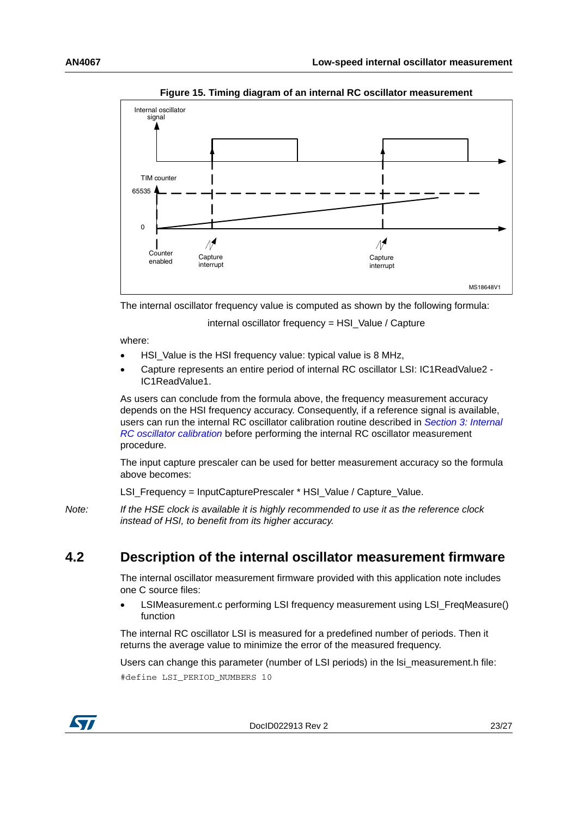<span id="page-22-1"></span>

**Figure 15. Timing diagram of an internal RC oscillator measurement**

The internal oscillator frequency value is computed as shown by the following formula:

internal oscillator frequency = HSI\_Value / Capture

where:

- HSI\_Value is the HSI frequency value: typical value is 8 MHz,
- Capture represents an entire period of internal RC oscillator LSI: IC1ReadValue2 IC1ReadValue1.

As users can conclude from the formula above, the frequency measurement accuracy depends on the HSI frequency accuracy. Consequently, if a reference signal is available, users can run the internal RC oscillator calibration routine described in *Section [3: Internal](#page-6-0)  [RC oscillator calibration](#page-6-0)* before performing the internal RC oscillator measurement procedure.

The input capture prescaler can be used for better measurement accuracy so the formula above becomes:

LSI\_Frequency = InputCapturePrescaler \* HSI\_Value / Capture\_Value.

*Note: If the HSE clock is available it is highly recommended to use it as the reference clock instead of HSI, to benefit from its higher accuracy.*

## <span id="page-22-0"></span>**4.2 Description of the internal oscillator measurement firmware**

The internal oscillator measurement firmware provided with this application note includes one C source files:

 LSIMeasurement.c performing LSI frequency measurement using LSI\_FreqMeasure() function

The internal RC oscillator LSI is measured for a predefined number of periods. Then it returns the average value to minimize the error of the measured frequency.

Users can change this parameter (number of LSI periods) in the lsi\_measurement.h file: #define LSI\_PERIOD\_NUMBERS 10



DocID022913 Rev 2 23/[27](#page-26-0)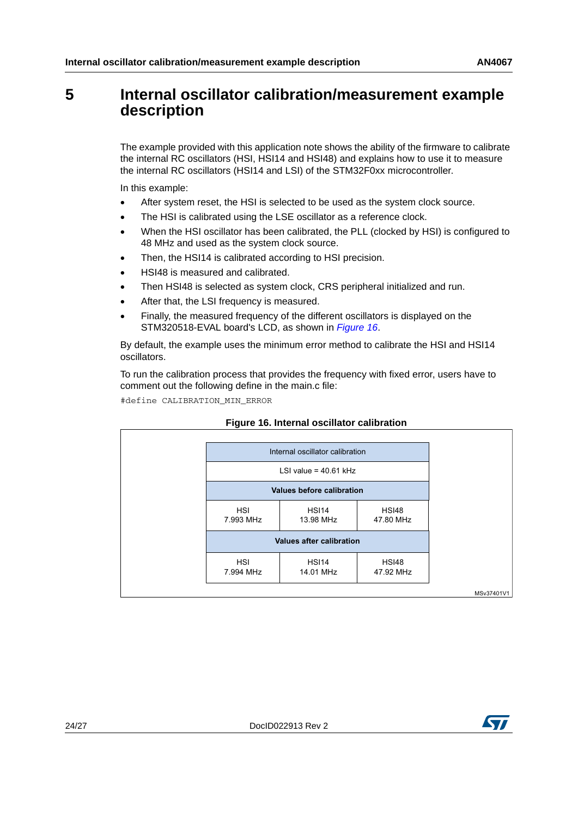## <span id="page-23-0"></span>**5 Internal oscillator calibration/measurement example description**

The example provided with this application note shows the ability of the firmware to calibrate the internal RC oscillators (HSI, HSI14 and HSI48) and explains how to use it to measure the internal RC oscillators (HSI14 and LSI) of the STM32F0xx microcontroller.

In this example:

- After system reset, the HSI is selected to be used as the system clock source.
- The HSI is calibrated using the LSE oscillator as a reference clock.
- When the HSI oscillator has been calibrated, the PLL (clocked by HSI) is configured to 48 MHz and used as the system clock source.
- Then, the HSI14 is calibrated according to HSI precision.
- HSI48 is measured and calibrated.
- Then HSI48 is selected as system clock, CRS peripheral initialized and run.
- After that, the LSI frequency is measured.
- Finally, the measured frequency of the different oscillators is displayed on the STM320518-EVAL board's LCD, as shown in *[Figure 16](#page-23-1)*.

By default, the example uses the minimum error method to calibrate the HSI and HSI14 oscillators.

To run the calibration process that provides the frequency with fixed error, users have to comment out the following define in the main.c file:

#define CALIBRATION\_MIN\_ERROR

<span id="page-23-1"></span>

#### **Figure 16. Internal oscillator calibration**

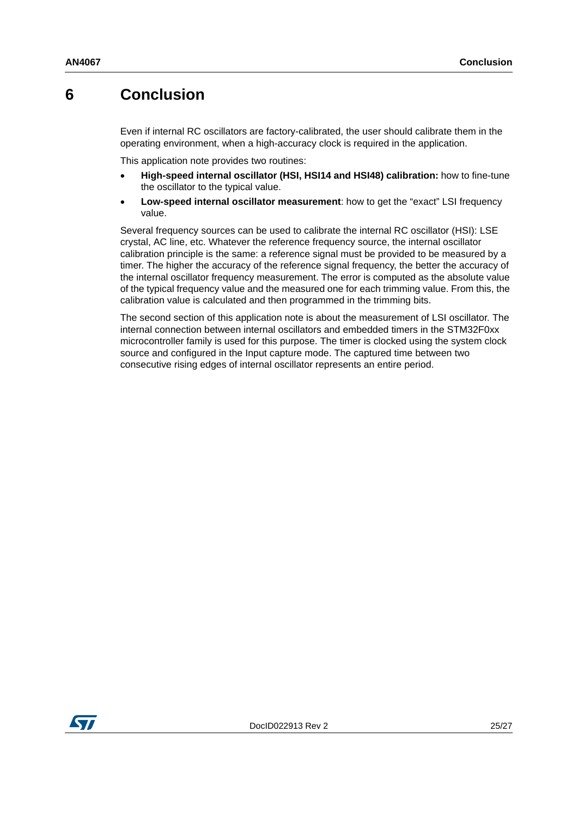## <span id="page-24-0"></span>**6 Conclusion**

Even if internal RC oscillators are factory-calibrated, the user should calibrate them in the operating environment, when a high-accuracy clock is required in the application.

This application note provides two routines:

- **High-speed internal oscillator (HSI, HSI14 and HSI48) calibration:** how to fine-tune the oscillator to the typical value.
- **Low-speed internal oscillator measurement**: how to get the "exact" LSI frequency value.

Several frequency sources can be used to calibrate the internal RC oscillator (HSI): LSE crystal, AC line, etc. Whatever the reference frequency source, the internal oscillator calibration principle is the same: a reference signal must be provided to be measured by a timer. The higher the accuracy of the reference signal frequency, the better the accuracy of the internal oscillator frequency measurement. The error is computed as the absolute value of the typical frequency value and the measured one for each trimming value. From this, the calibration value is calculated and then programmed in the trimming bits.

The second section of this application note is about the measurement of LSI oscillator. The internal connection between internal oscillators and embedded timers in the STM32F0xx microcontroller family is used for this purpose. The timer is clocked using the system clock source and configured in the Input capture mode. The captured time between two consecutive rising edges of internal oscillator represents an entire period.

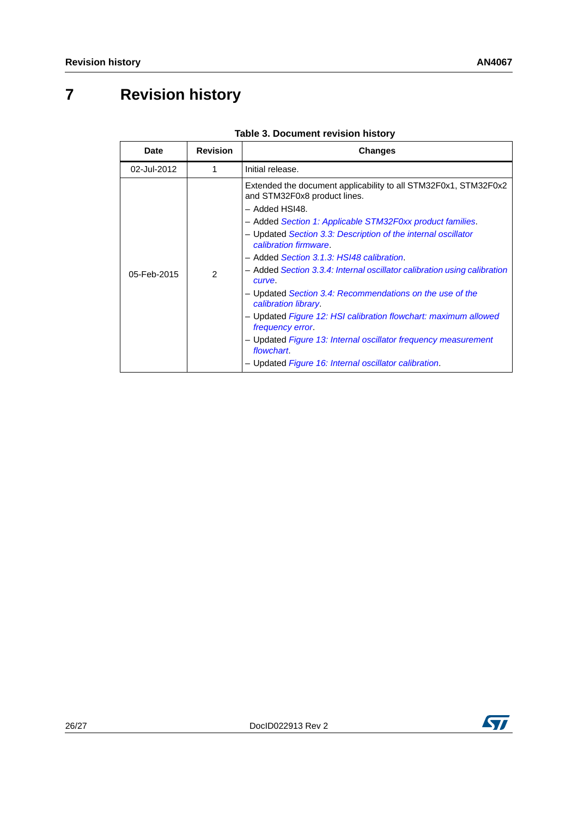## <span id="page-25-0"></span>**7 Revision history**

<span id="page-25-1"></span>

| <b>Date</b> | <b>Revision</b> | <b>Changes</b>                                                                                                                                                                                                                                                                                                                                                                                                                                                                                                                                                                                                                                                                                                                         |
|-------------|-----------------|----------------------------------------------------------------------------------------------------------------------------------------------------------------------------------------------------------------------------------------------------------------------------------------------------------------------------------------------------------------------------------------------------------------------------------------------------------------------------------------------------------------------------------------------------------------------------------------------------------------------------------------------------------------------------------------------------------------------------------------|
| 02-Jul-2012 |                 | Initial release.                                                                                                                                                                                                                                                                                                                                                                                                                                                                                                                                                                                                                                                                                                                       |
| 05-Feb-2015 | $\mathcal{P}$   | Extended the document applicability to all STM32F0x1, STM32F0x2<br>and STM32F0x8 product lines.<br>- Added HSI48.<br>- Added Section 1: Applicable STM32F0xx product families.<br>- Updated Section 3.3: Description of the internal oscillator<br>calibration firmware.<br>- Added Section 3.1.3: HSI48 calibration.<br>- Added Section 3.3.4: Internal oscillator calibration using calibration<br>curve.<br>- Updated Section 3.4: Recommendations on the use of the<br>calibration library.<br>- Updated Figure 12: HSI calibration flowchart: maximum allowed<br><i>frequency error.</i><br>- Updated Figure 13: Internal oscillator frequency measurement<br>flowchart.<br>- Updated Figure 16: Internal oscillator calibration. |

#### **Table 3. Document revision history**